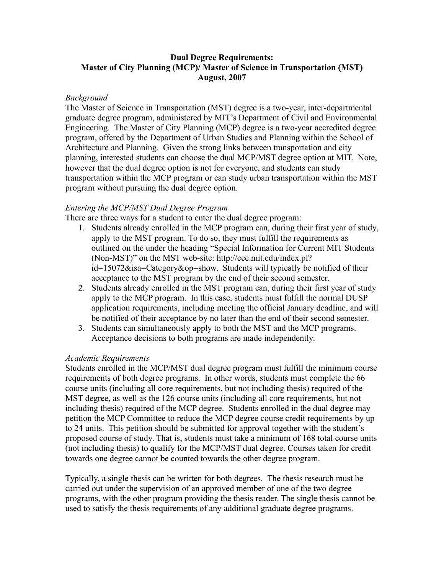# **Dual Degree Requirements: Master of City Planning (MCP)/ Master of Science in Transportation (MST) August, 2007**

### *Background*

The Master of Science in Transportation (MST) degree is a two-year, inter-departmental graduate degree program, administered by MIT's Department of Civil and Environmental Engineering. The Master of City Planning (MCP) degree is a two-year accredited degree program, offered by the Department of Urban Studies and Planning within the School of Architecture and Planning. Given the strong links between transportation and city planning, interested students can choose the dual MCP/MST degree option at MIT. Note, however that the dual degree option is not for everyone, and students can study transportation within the MCP program or can study urban transportation within the MST program without pursuing the dual degree option.

## *Entering the MCP/MST Dual Degree Program*

There are three ways for a student to enter the dual degree program:

- 1. Students already enrolled in the MCP program can, during their first year of study, apply to the MST program. To do so, they must fulfill the requirements as outlined on the under the heading "Special Information for Current MIT Students (Non-MST)" on the MST web-site: http://cee.mit.edu/index.pl? id=15072&isa=Category&op=show. Students will typically be notified of their acceptance to the MST program by the end of their second semester.
- 2. Students already enrolled in the MST program can, during their first year of study apply to the MCP program. In this case, students must fulfill the normal DUSP application requirements, including meeting the official January deadline, and will be notified of their acceptance by no later than the end of their second semester.
- 3. Students can simultaneously apply to both the MST and the MCP programs. Acceptance decisions to both programs are made independently.

#### *Academic Requirements*

Students enrolled in the MCP/MST dual degree program must fulfill the minimum course requirements of both degree programs. In other words, students must complete the 66 course units (including all core requirements, but not including thesis) required of the MST degree, as well as the 126 course units (including all core requirements, but not including thesis) required of the MCP degree. Students enrolled in the dual degree may petition the MCP Committee to reduce the MCP degree course credit requirements by up to 24 units. This petition should be submitted for approval together with the student's proposed course of study. That is, students must take a minimum of 168 total course units (not including thesis) to qualify for the MCP/MST dual degree. Courses taken for credit towards one degree cannot be counted towards the other degree program.

Typically, a single thesis can be written for both degrees. The thesis research must be carried out under the supervision of an approved member of one of the two degree programs, with the other program providing the thesis reader. The single thesis cannot be used to satisfy the thesis requirements of any additional graduate degree programs.